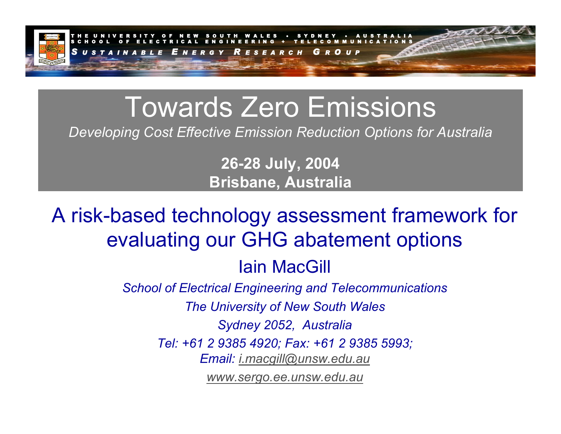

# Towards Zero Emissions

*Developing Cost Effective Emission Reduction Options for Australia*

**26-28 July, 2004 Brisbane, Australia**

A risk-based technology assessment framework for evaluating our GHG abatement options Iain MacGill

*School of Electrical Engineering and Telecommunications*

*The University of New South Wales*

*Sydney 2052, Australia*

*Tel: +61 2 9385 4920; Fax: +61 2 9385 5993;* 

*Email: [i.macgill@unsw.edu.au](mailto:i.macgill@unsw.edu.au)*

*[www.sergo.ee.unsw.edu.au](http://www.sergo.ee.unsw.edu.au/)*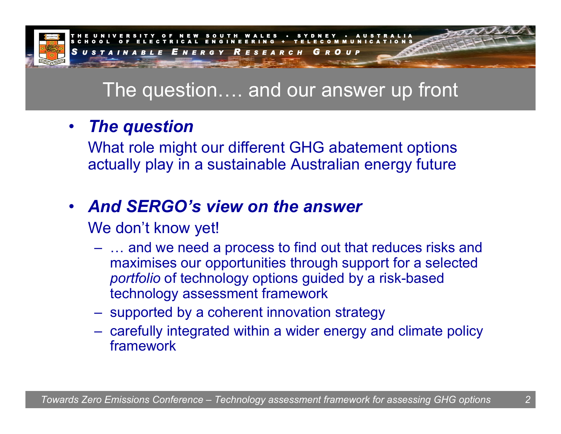

## The question…. and our answer up front

### • *The question*

What role might our different GHG abatement options actually play in a sustainable Australian energy future

# • *And SERGO's view on the answer*

We don't know yet!

- … and we need a process to find out that reduces risks and maximises our opportunities through support for a selected *portfolio* of technology options guided by a risk-based technology assessment framework
- supported by a coherent innovation strategy
- carefully integrated within a wider energy and climate policy framework

*2*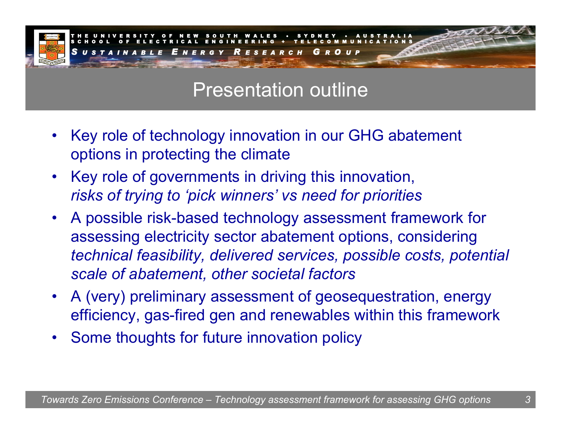

## Presentation outline

- •Key role of technology innovation in our GHG abatement options in protecting the climate
- •Key role of governments in driving this innovation, *risks of trying to 'pick winners' vs need for priorities*
- •A possible risk-based technology assessment framework for assessing electricity sector abatement options, considering *technical feasibility, delivered services, possible costs, potential scale of abatement, other societal factors*
- •A (very) preliminary assessment of geosequestration, energy efficiency, gas-fired gen and renewables within this framework
- •Some thoughts for future innovation policy

*3*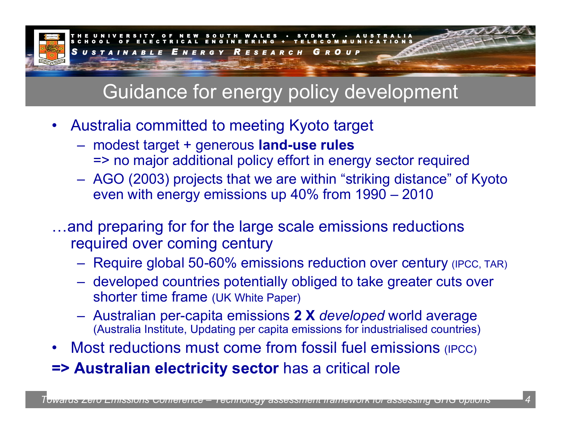

# Guidance for energy policy development

- •Australia committed to meeting Kyoto target
	- modest target + generous **land-use rules** => no major additional policy effort in energy sector required
	- AGO (2003) projects that we are within "striking distance" of Kyoto even with energy emissions up 40% from 1990 – 2010
- …and preparing for for the large scale emissions reductions required over coming century
	- Require global 50-60% emissions reduction over century (IPCC, TAR)
	- developed countries potentially obliged to take greater cuts over shorter time frame (UK White Paper)
	- Australian per-capita emissions **2 X** *developed* world average (Australia Institute, Updating per capita emissions for industrialised countries)
- •Most reductions must come from fossil fuel emissions (IPCC)
- **=> Australian electricity sector** has a critical role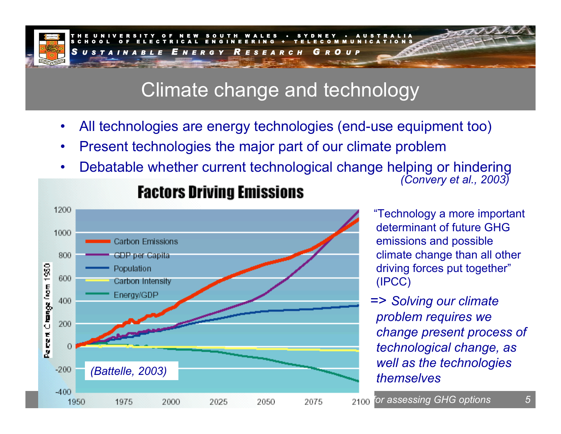

## Climate change and technology

- •All technologies are energy technologies (end-use equipment too)
- •Present technologies the major part of our climate problem
- •Debatable whether current technological change helping or hindering *(Convery et al., 2003)*



### **Factors Driving Emissions**

"Technology a more important determinant of future GHG emissions and possible climate change than all other driving forces put together" (IP CC)

=> *Solving our climate problem requires we change present process of technological change, as well as the technologies themselves*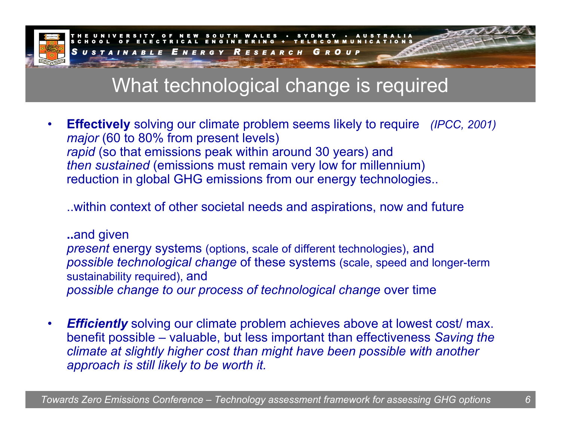

# What technological change is required

•• Effectively solving our climate problem seems likely to require (IPCC, 2001) *major* (60 to 80% from present levels) *rapid* (so that emissions peak within around 30 years) and *then sustained* (emissions must remain very low for millennium) reduction in global GHG emissions from our energy technologies..

..within context of other societal needs and aspirations, now and future

**..**and given *present* energy systems (options, scale of different technologies), and *possible technological change* of these systems (scale, speed and longer-term sustainability required), and *possible change to our process of technological change* over time

•*Efficiently* solving our climate problem achieves above at lowest cost/ max. benefit possible – valuable, but less important than effectiveness *Saving the climate at slightly higher cost than might have been possible with another approach is still likely to be worth it.*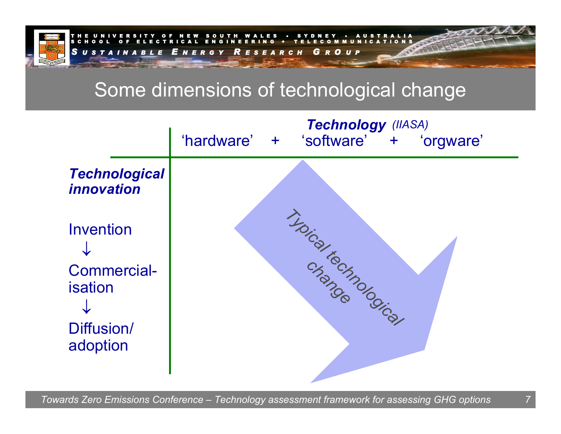

# Some dimensions of technological change

|                                                                             | Technology (IIASA)<br>'hardware'<br>'software' + 'orgware'<br>$+$ . |
|-----------------------------------------------------------------------------|---------------------------------------------------------------------|
| <b>Technological</b><br><i><b>innovation</b></i>                            |                                                                     |
| <b>Invention</b><br><b>Commercial-</b><br>isation<br>Diffusion/<br>adoption | THOIS TO MONTON CONTROL                                             |

*7*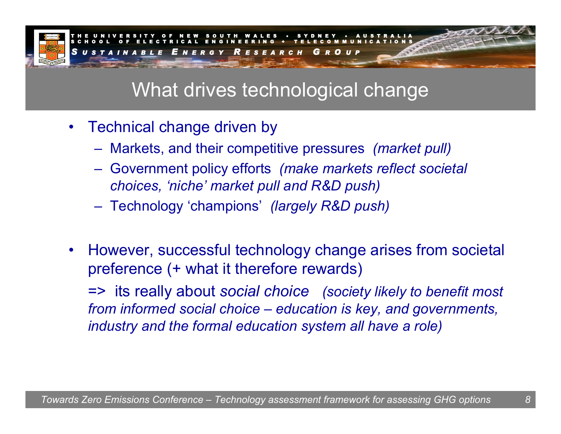

# What drives technological change

- Technical change driven by
	- Markets, and their competitive pressures *(market pull)*
	- Government policy efforts *(make markets reflect societal choices, 'niche' market pull and R&D push)*
	- Technology 'champions' *(largely R&D push)*
- $\bullet$ However, successful technology change arises from societal preference (+ what it therefore rewards)

=> its really about *social choice (society likely to benefit most from informed social choice – education is key, and governments, industry and the formal education system all have a role)*

*8*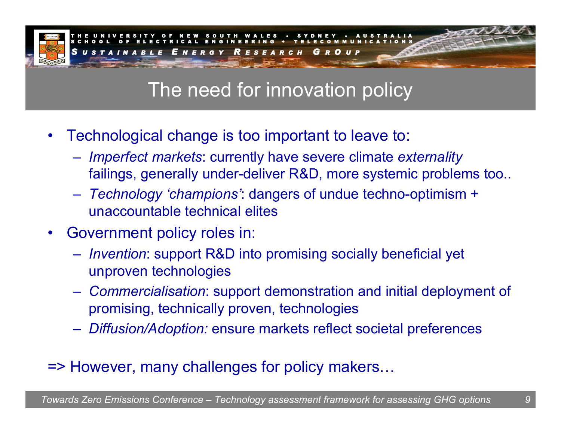

# The need for innovation policy

- •Technological change is too important to leave to:
	- *Imperfect markets*: currently have severe climate *externality* failings, generally under-deliver R&D, more systemic problems too..
	- *Technology 'champions'*: dangers of undue techno-optimism + unaccountable technical elites
- •Government policy roles in:
	- *Invention*: support R&D into promising socially beneficial yet unproven technologies
	- *Commercialisation*: support demonstration and initial deployment of promising, technically proven, technologies
	- *Diffusion/Adoption:* ensure markets reflect societal preferences

### => However, many challenges for policy makers…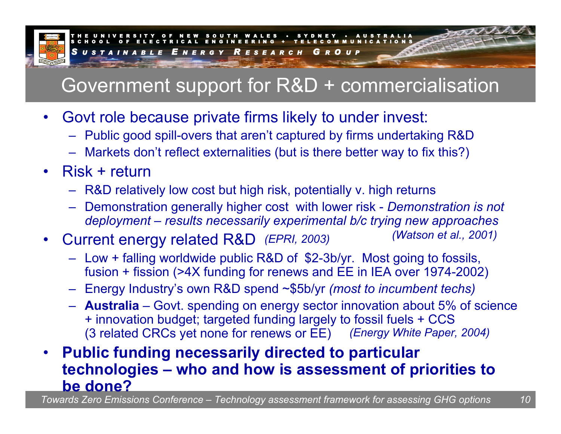

# Government support for R&D + commercialisation

- •Govt role because private firms likely to under invest:
	- Public good spill-overs that aren't captured by firms undertaking R&D
	- Markets don't reflect externalities (but is there better way to fix this?)
- Risk + return
	- R&D relatively low cost but high risk, potentially v. high returns
	- Demonstration generally higher cost with lower risk *Demonstration is not deployment – results necessarily experimental b/c trying new approaches*
- •Current energy related R&D (EPRI, 2003) *(Watson et al., 2001)* 
	- Low + falling worldwide public R&D of \$2-3b/yr. Most going to fossils, fusion + fission (>4X funding for renews and EE in IEA over 1974-2002)
	- Energy Industry's own R&D spend ~\$5b/yr *(most to incumbent techs)*
	- **Australia**  Govt. spending on energy sector innovation about 5% of science + innovation budget; targeted funding largely to fossil fuels + CCS (3 related CRCs yet none for renews or EE) *(Energy White Paper, 2004)*

#### • **Public funding necessarily directed to particular technologies – who and how is assessment of priorities to be done?**

*Towards Zero Emissions Conference – Technology assessment framework for assessing GHG options 10*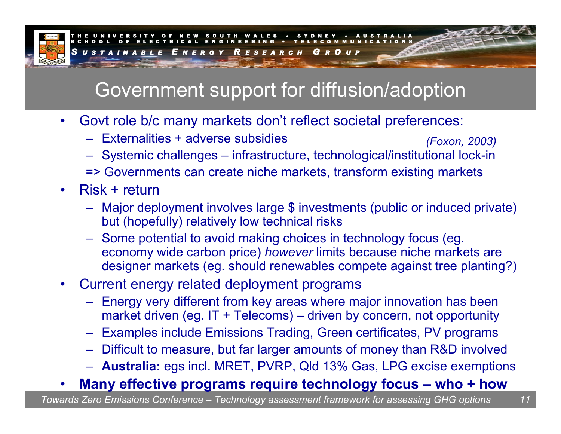

# Government support for diffusion/adoption

- •Govt role b/c many markets don't reflect societal preferences:
	- –Externalities + adverse subsidies*(Foxon, 2003)*
	- Systemic challenges infrastructure, technological/institutional lock-in => Governments can create niche markets, transform existing markets
- •Risk + return
	- Major deployment involves large \$ investments (public or induced private) but (hopefully) relatively low technical risks
	- Some potential to avoid making choices in technology focus (eg. economy wide carbon price) *however* limits because niche markets are designer markets (eg. should renewables compete against tree planting?)
- •Current energy related deployment programs
	- Energy very different from key areas where major innovation has been market driven (eg. IT + Telecoms) – driven by concern, not opportunity
	- –Examples include Emissions Trading, Green certificates, PV programs
	- Difficult to measure, but far larger amounts of money than R&D involved
	- **Australia:** egs incl. MRET, PVRP, Qld 13% Gas, LPG excise exemptions

#### •**Many effective programs require technology focus – who + how**

*Towards Zero Emissions Conference – Technology assessment framework for assessing GHG options 11*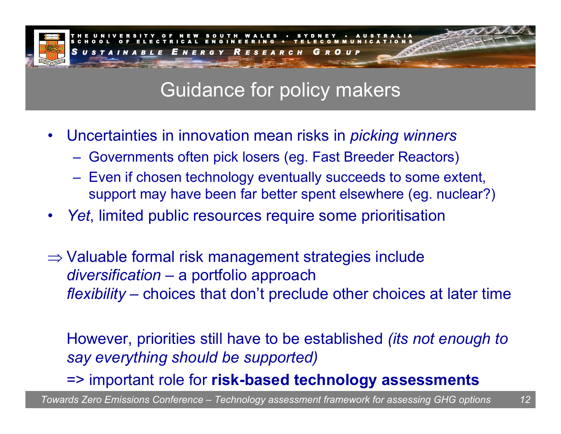

# Guidance for policy makers

- •Uncertainties in innovation mean risks in *picking winners*
	- Governments often pick losers (eg. Fast Breeder Reactors)
	- Even if chosen technology eventually succeeds to some extent, support may have been far better spent elsewhere (eg. nuclear?)
- •*Yet*, limited public resources require some prioritisation
- $\Rightarrow$  Valuable formal risk management strategies include *diversification*  – a portfolio approach *flexibility*  – choices that don't preclude other choices at later time

However, priorities still have to be established *(its not enough to say everything should be supported)*

=> important role for **risk-based technology assessments**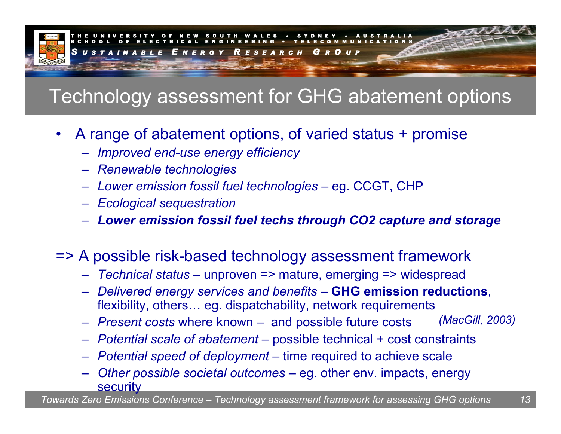

# Technology assessment for GHG abatement options

- •A range of abatement options, of varied status + promise
	- *Improved end-use energy efficiency*
	- *Renewable technologies*
	- –– Lower emission fossil fuel technologies – eg. CCGT, CHP
	- *Ecological sequestration*
	- *Lower emission fossil fuel techs through CO2 capture and storage*

### => A possible risk-based technology assessment framework

- *Technical status* unproven => mature, emerging => widespread
- *Delivered energy services and benefits* **GHG emission reductions**, flexibility, others… eg. dispatchability, network requirements
- *Present costs* where known and possible future costs *(MacGill, 2003)*
- *Potential scale of abatement –* possible technical + cost constraints
- *Potential speed of deployment –* time required to achieve scale
- – $-$  Other possible societal outcomes – eg. other env. impacts, energy **security**

*Towards Zero Emissions Conference – Technology assessment framework for assessing GHG options 13*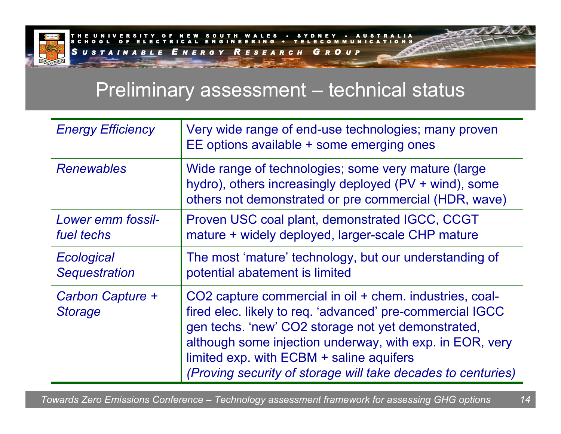

### Preliminary assessment – technical status

| <b>Energy Efficiency</b>           | Very wide range of end-use technologies; many proven<br>EE options available + some emerging ones                                                                                                                                                                                                                                                  |
|------------------------------------|----------------------------------------------------------------------------------------------------------------------------------------------------------------------------------------------------------------------------------------------------------------------------------------------------------------------------------------------------|
| <b>Renewables</b>                  | Wide range of technologies; some very mature (large)<br>hydro), others increasingly deployed (PV + wind), some<br>others not demonstrated or pre commercial (HDR, wave)                                                                                                                                                                            |
| Lower emm fossil-<br>fuel techs    | Proven USC coal plant, demonstrated IGCC, CCGT<br>mature + widely deployed, larger-scale CHP mature                                                                                                                                                                                                                                                |
| Ecological<br><b>Sequestration</b> | The most 'mature' technology, but our understanding of<br>potential abatement is limited                                                                                                                                                                                                                                                           |
| Carbon Capture +<br><b>Storage</b> | CO2 capture commercial in oil + chem. industries, coal-<br>fired elec. likely to req. 'advanced' pre-commercial IGCC<br>gen techs. 'new' CO2 storage not yet demonstrated,<br>although some injection underway, with exp. in EOR, very<br>limited exp. with ECBM + saline aquifers<br>(Proving security of storage will take decades to centuries) |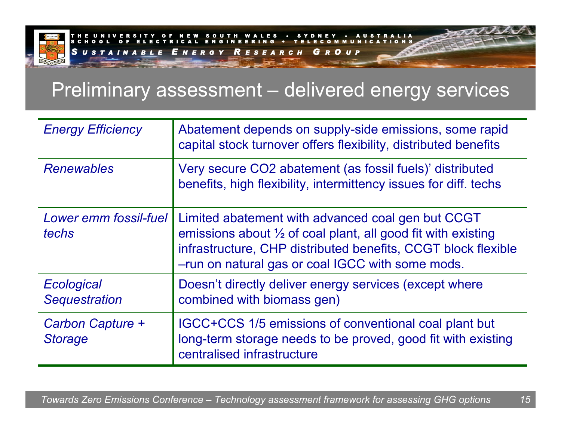

## Preliminary assessment – delivered energy services

| <b>Energy Efficiency</b>           | Abatement depends on supply-side emissions, some rapid<br>capital stock turnover offers flexibility, distributed benefits                                                                                                               |
|------------------------------------|-----------------------------------------------------------------------------------------------------------------------------------------------------------------------------------------------------------------------------------------|
| <b>Renewables</b>                  | Very secure CO2 abatement (as fossil fuels)' distributed<br>benefits, high flexibility, intermittency issues for diff. techs                                                                                                            |
| Lower emm fossil-fuel<br>techs     | Limited abatement with advanced coal gen but CCGT<br>emissions about 1/2 of coal plant, all good fit with existing<br>infrastructure, CHP distributed benefits, CCGT block flexible<br>-run on natural gas or coal IGCC with some mods. |
| Ecological<br><b>Sequestration</b> | Doesn't directly deliver energy services (except where<br>combined with biomass gen)                                                                                                                                                    |
| Carbon Capture +<br><b>Storage</b> | IGCC+CCS 1/5 emissions of conventional coal plant but<br>long-term storage needs to be proved, good fit with existing<br>centralised infrastructure                                                                                     |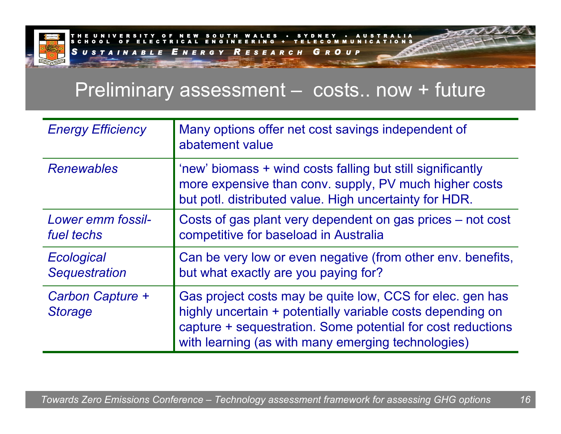

### Preliminary assessment – costs.. now + future

| <b>Energy Efficiency</b>           | Many options offer net cost savings independent of<br>abatement value                                                                                                                                                                        |
|------------------------------------|----------------------------------------------------------------------------------------------------------------------------------------------------------------------------------------------------------------------------------------------|
| <b>Renewables</b>                  | 'new' biomass + wind costs falling but still significantly<br>more expensive than conv. supply, PV much higher costs<br>but potl. distributed value. High uncertainty for HDR.                                                               |
| Lower emm fossil-<br>fuel techs    | Costs of gas plant very dependent on gas prices – not cost<br>competitive for baseload in Australia                                                                                                                                          |
| Ecological<br><b>Sequestration</b> | Can be very low or even negative (from other env. benefits,<br>but what exactly are you paying for?                                                                                                                                          |
| Carbon Capture +<br><b>Storage</b> | Gas project costs may be quite low, CCS for elec. gen has<br>highly uncertain + potentially variable costs depending on<br>capture + sequestration. Some potential for cost reductions<br>with learning (as with many emerging technologies) |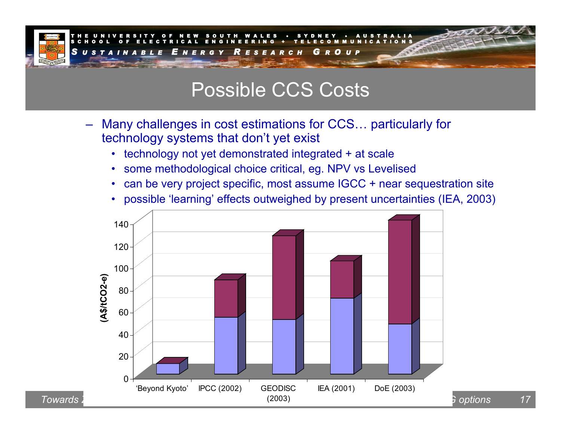

### Possible CCS Costs

- –Many challenges in cost estimations for CCS… particularly for technology systems that don't yet exist
	- technology not yet demonstrated integrated + at scale
	- •some methodological choice critical, eg. NPV vs Levelised
	- •can be very project specific, most assume IGCC + near sequestration site
	- possible 'learning' effects outweighed by present uncertainties (IEA, 2003)

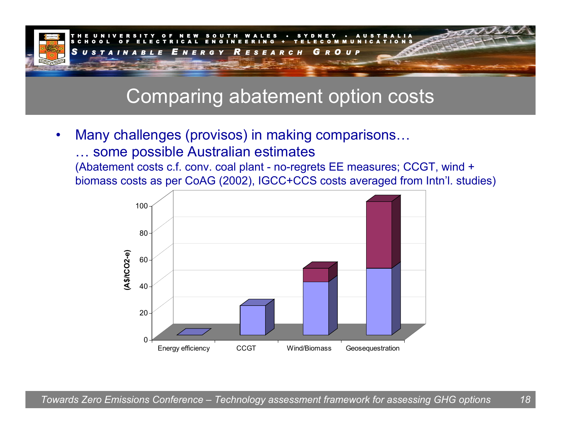

### Comparing abatement option costs

•Many challenges (provis os) in making comparisons… … some possible Australian estimate s

(Abatement costs c.f. conv. coal plant - no-regrets EE measures; CCGT, wind + biomass costs as per CoAG (2002), IGCC+CCS costs averaged from Intn'l. studies)

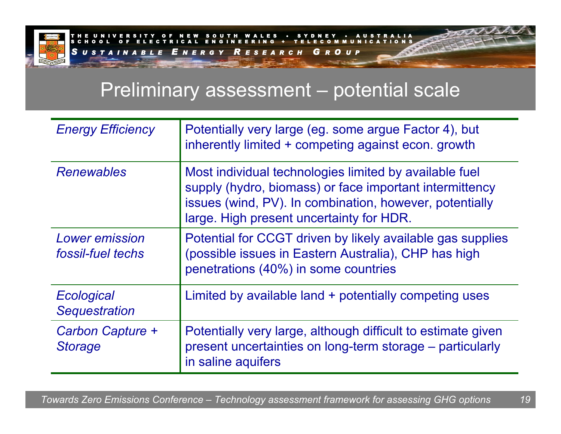

### Preliminary assessment – potential scale

| <b>Energy Efficiency</b>                   | Potentially very large (eg. some argue Factor 4), but<br>inherently limited + competing against econ. growth                                                                                                             |
|--------------------------------------------|--------------------------------------------------------------------------------------------------------------------------------------------------------------------------------------------------------------------------|
| <b>Renewables</b>                          | Most individual technologies limited by available fuel<br>supply (hydro, biomass) or face important intermittency<br>issues (wind, PV). In combination, however, potentially<br>large. High present uncertainty for HDR. |
| <b>Lower emission</b><br>fossil-fuel techs | Potential for CCGT driven by likely available gas supplies<br>(possible issues in Eastern Australia), CHP has high<br>penetrations (40%) in some countries                                                               |
| Ecological<br><b>Sequestration</b>         | Limited by available land + potentially competing uses                                                                                                                                                                   |
| Carbon Capture +<br><b>Storage</b>         | Potentially very large, although difficult to estimate given<br>present uncertainties on long-term storage – particularly<br>in saline aquifers                                                                          |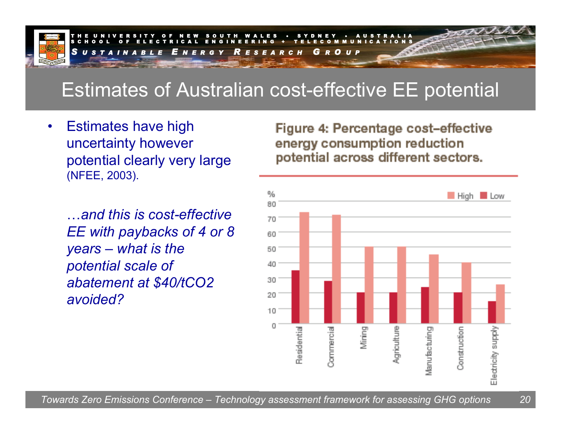

# Estimates of Australian cost-effective EE potential

•Estimates have high uncertainty however potential clearly very large (NFEE, 2003).

…*and this is cost-effective EE with paybacks of 4 or 8 years – what is the potential scale of abatement at \$40/tCO2 avoided?*

Figure 4: Percentage cost-effective energy consumption reduction potential across different sectors.

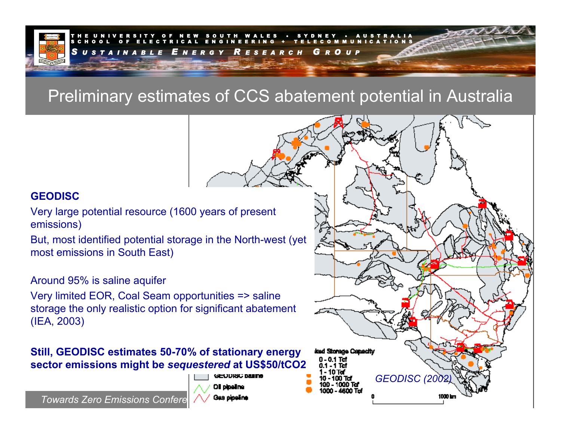

### Preliminary estimates of CCS abatement potential in Australia

### **GEODISC**

- Very large potenti al resource (1600 years of present emissions)
- But, most identified potential storage in the North-west (yet most emissions i n South East)

### Around 95% is saline aquifer

Very limited EOR, Coal Seam opportunities => saline storage the only realistic option for significant abatement (IEA, 2003)

#### **Still, GEODISC estima tes 50-70% of stationary ene rgy sector emissions might be** *sequestered* **at US\$50/tCO2**



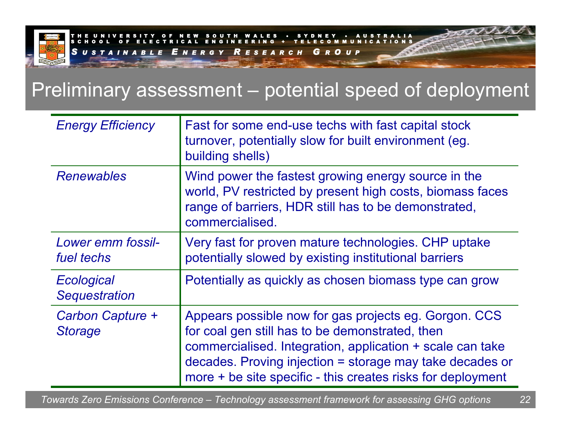

## Preliminary assessment – potential speed of deployment

| <b>Energy Efficiency</b>           | Fast for some end-use techs with fast capital stock<br>turnover, potentially slow for built environment (eg.<br>building shells)                                                                                                                                                                 |
|------------------------------------|--------------------------------------------------------------------------------------------------------------------------------------------------------------------------------------------------------------------------------------------------------------------------------------------------|
| <b>Renewables</b>                  | Wind power the fastest growing energy source in the<br>world, PV restricted by present high costs, biomass faces<br>range of barriers, HDR still has to be demonstrated,<br>commercialised.                                                                                                      |
| Lower emm fossil-<br>fuel techs    | Very fast for proven mature technologies. CHP uptake<br>potentially slowed by existing institutional barriers                                                                                                                                                                                    |
| Ecological<br><b>Sequestration</b> | Potentially as quickly as chosen biomass type can grow                                                                                                                                                                                                                                           |
| Carbon Capture +<br><b>Storage</b> | Appears possible now for gas projects eg. Gorgon. CCS<br>for coal gen still has to be demonstrated, then<br>commercialised. Integration, application + scale can take<br>decades. Proving injection = storage may take decades or<br>more + be site specific - this creates risks for deployment |

*Towards Zero Emissions Conference – Technology assessment framework for assessing GHG options 22*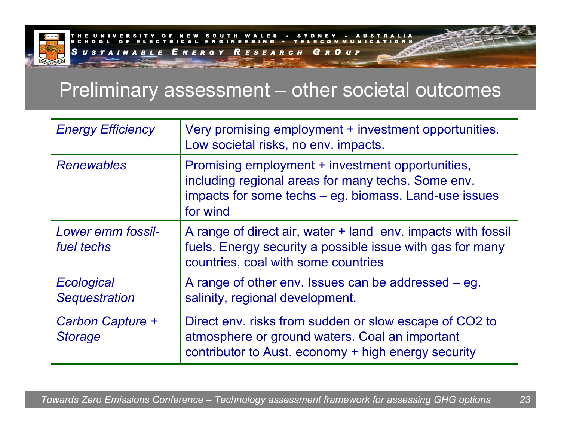

U T H W A L E S S Y D N E Y • A U S T R A L I AS C H O O L O F E L E C T R I C A L E N G I N E E R I N G + T E L E C O M M U N I C A T I O N SSUSTA *U S T A I N A B L E E N E R G Y R E S E A R C HGRO U P*

## Preliminary assessment – other societal outcomes

| <b>Energy Efficiency</b>           | Very promising employment + investment opportunities.<br>Low societal risks, no env. impacts.                                                                               |
|------------------------------------|-----------------------------------------------------------------------------------------------------------------------------------------------------------------------------|
| <b>Renewables</b>                  | Promising employment + investment opportunities,<br>including regional areas for many techs. Some env.<br>impacts for some techs – eg. biomass. Land-use issues<br>for wind |
| Lower emm fossil-<br>fuel techs    | A range of direct air, water + land env. impacts with fossil<br>fuels. Energy security a possible issue with gas for many<br>countries, coal with some countries            |
| Ecological<br><b>Sequestration</b> | A range of other env. Issues can be addressed – eq.<br>salinity, regional development.                                                                                      |
| Carbon Capture +<br><b>Storage</b> | Direct env. risks from sudden or slow escape of CO2 to<br>atmosphere or ground waters. Coal an important<br>contributor to Aust. economy + high energy security             |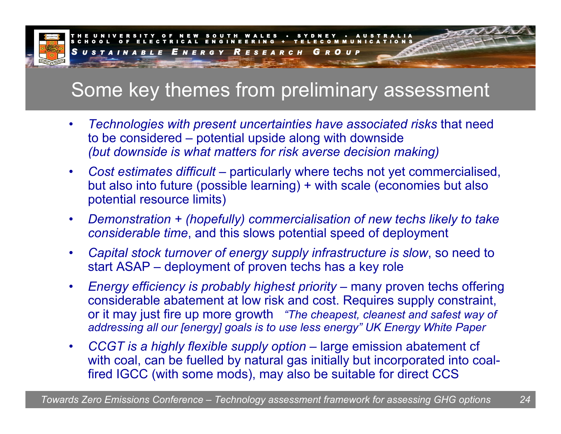

# Some key themes from preliminary assessment

- • *Technologies with present uncertainties have associated risks* that need to be considered – potential upside along with downside *(but downside is what matters for risk averse decision making)*
- $\bullet$  *Cost estimates difficult* – particularly where techs not yet commercialised, but also into future (possible learning) + with scale (economies but also potential resource limits)
- • *Demonstration + (hopefully) commercialisation of new techs likely to take considerable time*, and this slows potential speed of deployment
- • *Capital stock turnover of energy supply infrastructure is slow*, so need to start ASAP – deployment of proven techs has a key role
- • *Energy efficiency is probably highest priority* – many proven techs offering considerable abatement at low risk and cost. Requires supply constraint, or it may just fire up more growth *"The cheapest, cleanest and safest way of addressing all our [energy] goals is to use less energy" UK Energy White Paper*
- • *CCGT is a highly flexible supply option* – large emission abatement cf with coal, can be fuelled by natural gas initially but incorporated into coalfired IGCC (with some mods), may also be suitable for direct CCS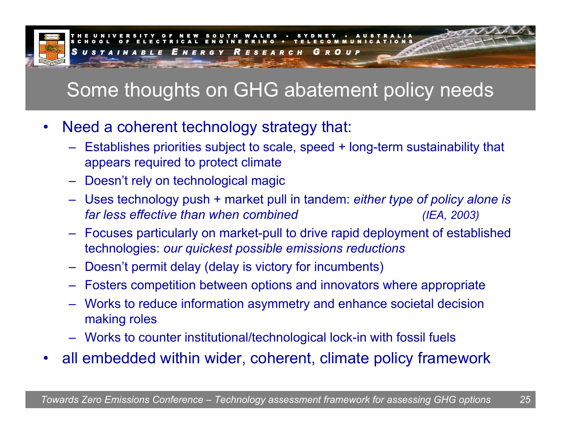

# Some thoughts on GHG abatement policy needs

- •Need a coherent technology strategy that:
	- Establishes priorities subject to scale, speed + long-term sustainability that appears required to protect climate
	- Doesn't rely on technological magic
	- Uses technology push + market pull in tandem: *either type of policy alone is far less effective than when combined (IEA, 2003)*
	- Focuses particularly on market-pull to drive rapid deployment of established technologies: *our quickest possible emissions reductions*
	- Doesn't permit delay (delay is victory for incumbents)
	- Fosters competition between options and innovators where appropriate
	- Works to reduce information asymmetry and enhance societal decision making roles
	- Works to counter institutional/technological lock-in with fossil fuels
- •all embedded within wider, coherent, climate policy framework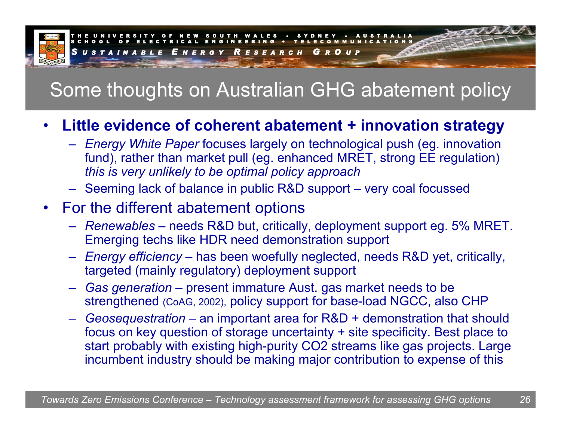

# Some thoughts on Australian GHG abatement policy

#### •**Little evidence of coherent abatement + innovation strategy**

- *Energy White Paper* focuses largely on technological push (eg. innovation fund), rather than market pull (eg. enhanced MRET, strong EE regulation) *this is very unlikely to be optimal policy approach*
- Seeming lack of balance in public R&D support very coal focussed

### • For the different abatement options

- *Renewables* needs R&D but, critically, deployment support eg. 5% MRET. Emerging techs like HDR need demonstration support
- *Energy efficiency* has been woefully neglected, needs R&D yet, critically, targeted (mainly regulatory) deployment support
- *Gas generation* present immature Aust. gas market needs to be strengthened (CoAG, 2002), policy support for base-load NGCC, also CHP
- –– Geosequestration – an important area for R&D + demonstration that should focus on key question of storage uncertainty + site specificity. Best place to start probably with existing high-purity CO2 streams like gas projects. Large incumbent industry should be making major contribution to expense of this